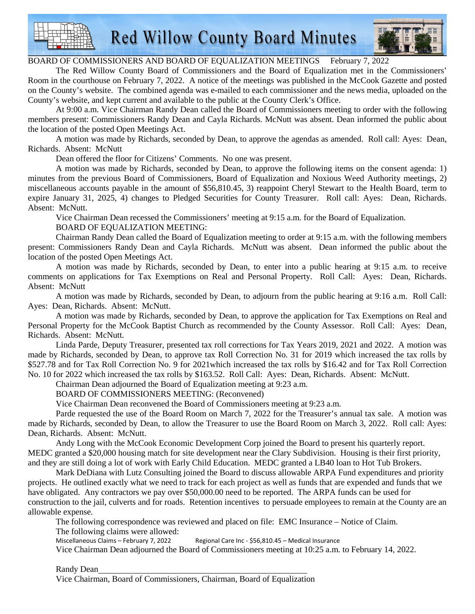

**Red Willow County Board Minutes** 



## BOARD OF COMMISSIONERS AND BOARD OF EQUALIZATION MEETINGS February 7, 2022

The Red Willow County Board of Commissioners and the Board of Equalization met in the Commissioners' Room in the courthouse on February 7, 2022. A notice of the meetings was published in the McCook Gazette and posted on the County's website. The combined agenda was e-mailed to each commissioner and the news media, uploaded on the County's website, and kept current and available to the public at the County Clerk's Office.

At 9:00 a.m. Vice Chairman Randy Dean called the Board of Commissioners meeting to order with the following members present: Commissioners Randy Dean and Cayla Richards. McNutt was absent. Dean informed the public about the location of the posted Open Meetings Act.

A motion was made by Richards, seconded by Dean, to approve the agendas as amended. Roll call: Ayes: Dean, Richards. Absent: McNutt

Dean offered the floor for Citizens' Comments. No one was present.

A motion was made by Richards, seconded by Dean, to approve the following items on the consent agenda: 1) minutes from the previous Board of Commissioners, Board of Equalization and Noxious Weed Authority meetings, 2) miscellaneous accounts payable in the amount of \$56,810.45, 3) reappoint Cheryl Stewart to the Health Board, term to expire January 31, 2025, 4) changes to Pledged Securities for County Treasurer. Roll call: Ayes: Dean, Richards. Absent: McNutt.

Vice Chairman Dean recessed the Commissioners' meeting at 9:15 a.m. for the Board of Equalization. BOARD OF EQUALIZATION MEETING:

Chairman Randy Dean called the Board of Equalization meeting to order at 9:15 a.m. with the following members present: Commissioners Randy Dean and Cayla Richards. McNutt was absent. Dean informed the public about the location of the posted Open Meetings Act.

A motion was made by Richards, seconded by Dean, to enter into a public hearing at 9:15 a.m. to receive comments on applications for Tax Exemptions on Real and Personal Property. Roll Call: Ayes: Dean, Richards. Absent: McNutt

A motion was made by Richards, seconded by Dean, to adjourn from the public hearing at 9:16 a.m. Roll Call: Ayes: Dean, Richards. Absent: McNutt.

A motion was made by Richards, seconded by Dean, to approve the application for Tax Exemptions on Real and Personal Property for the McCook Baptist Church as recommended by the County Assessor. Roll Call: Ayes: Dean, Richards. Absent: McNutt.

Linda Parde, Deputy Treasurer, presented tax roll corrections for Tax Years 2019, 2021 and 2022. A motion was made by Richards, seconded by Dean, to approve tax Roll Correction No. 31 for 2019 which increased the tax rolls by \$527.78 and for Tax Roll Correction No. 9 for 2021which increased the tax rolls by \$16.42 and for Tax Roll Correction No. 10 for 2022 which increased the tax rolls by \$163.52. Roll Call: Ayes: Dean, Richards. Absent: McNutt.

Chairman Dean adjourned the Board of Equalization meeting at 9:23 a.m.

BOARD OF COMMISSIONERS MEETING: (Reconvened)

Vice Chairman Dean reconvened the Board of Commissioners meeting at 9:23 a.m.

Parde requested the use of the Board Room on March 7, 2022 for the Treasurer's annual tax sale. A motion was made by Richards, seconded by Dean, to allow the Treasurer to use the Board Room on March 3, 2022. Roll call: Ayes: Dean, Richards. Absent: McNutt.

Andy Long with the McCook Economic Development Corp joined the Board to present his quarterly report. MEDC granted a \$20,000 housing match for site development near the Clary Subdivision. Housing is their first priority, and they are still doing a lot of work with Early Child Education. MEDC granted a LB40 loan to Hot Tub Brokers.

Mark DeDiana with Lutz Consulting joined the Board to discuss allowable ARPA Fund expenditures and priority projects. He outlined exactly what we need to track for each project as well as funds that are expended and funds that we have obligated. Any contractors we pay over \$50,000.00 need to be reported. The ARPA funds can be used for construction to the jail, culverts and for roads. Retention incentives to persuade employees to remain at the County are an allowable expense.

The following correspondence was reviewed and placed on file: EMC Insurance – Notice of Claim.

The following claims were allowed:

Miscellaneous Claims – February 7, 2022 Regional Care Inc - \$56,810.45 – Medical Insurance

Vice Chairman Dean adjourned the Board of Commissioners meeting at 10:25 a.m. to February 14, 2022.

Randy Dean

Vice Chairman, Board of Commissioners, Chairman, Board of Equalization